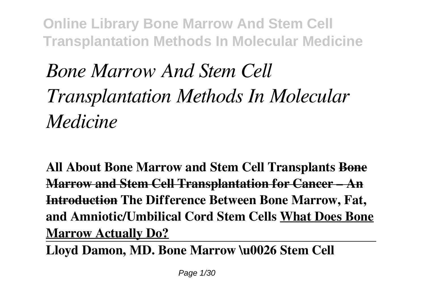# *Bone Marrow And Stem Cell Transplantation Methods In Molecular Medicine*

**All About Bone Marrow and Stem Cell Transplants Bone Marrow and Stem Cell Transplantation for Cancer – An Introduction The Difference Between Bone Marrow, Fat, and Amniotic/Umbilical Cord Stem Cells What Does Bone Marrow Actually Do?**

**Lloyd Damon, MD. Bone Marrow \u0026 Stem Cell**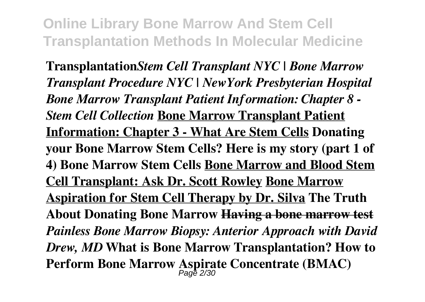**Transplantation***Stem Cell Transplant NYC | Bone Marrow Transplant Procedure NYC | NewYork Presbyterian Hospital Bone Marrow Transplant Patient Information: Chapter 8 - Stem Cell Collection* **Bone Marrow Transplant Patient Information: Chapter 3 - What Are Stem Cells Donating your Bone Marrow Stem Cells? Here is my story (part 1 of 4) Bone Marrow Stem Cells Bone Marrow and Blood Stem Cell Transplant: Ask Dr. Scott Rowley Bone Marrow Aspiration for Stem Cell Therapy by Dr. Silva The Truth About Donating Bone Marrow Having a bone marrow test** *Painless Bone Marrow Biopsy: Anterior Approach with David Drew, MD* **What is Bone Marrow Transplantation? How to Perform Bone Marrow Aspirate Concentrate (BMAC)**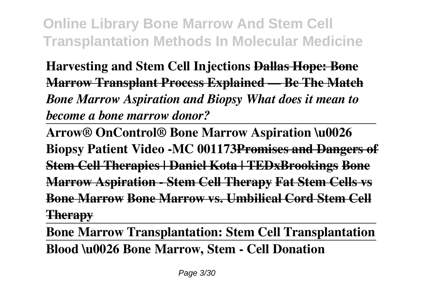**Harvesting and Stem Cell Injections Dallas Hope: Bone Marrow Transplant Process Explained — Be The Match** *Bone Marrow Aspiration and Biopsy What does it mean to become a bone marrow donor?*

**Arrow® OnControl® Bone Marrow Aspiration \u0026 Biopsy Patient Video -MC 001173Promises and Dangers of Stem Cell Therapies | Daniel Kota | TEDxBrookings Bone Marrow Aspiration - Stem Cell Therapy Fat Stem Cells vs Bone Marrow Bone Marrow vs. Umbilical Cord Stem Cell Therapy**

**Bone Marrow Transplantation: Stem Cell Transplantation Blood \u0026 Bone Marrow, Stem - Cell Donation**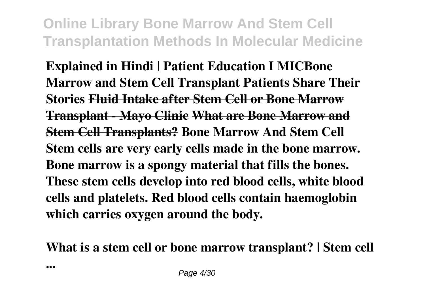**Explained in Hindi | Patient Education I MICBone Marrow and Stem Cell Transplant Patients Share Their Stories Fluid Intake after Stem Cell or Bone Marrow Transplant - Mayo Clinic What are Bone Marrow and Stem Cell Transplants? Bone Marrow And Stem Cell Stem cells are very early cells made in the bone marrow. Bone marrow is a spongy material that fills the bones. These stem cells develop into red blood cells, white blood cells and platelets. Red blood cells contain haemoglobin which carries oxygen around the body.**

**What is a stem cell or bone marrow transplant? | Stem cell**

**...**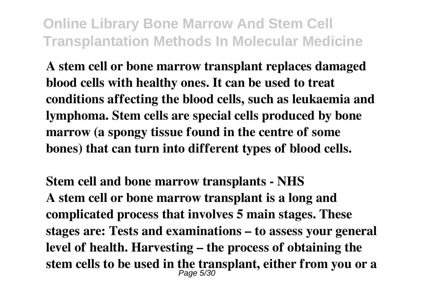**A stem cell or bone marrow transplant replaces damaged blood cells with healthy ones. It can be used to treat conditions affecting the blood cells, such as leukaemia and lymphoma. Stem cells are special cells produced by bone marrow (a spongy tissue found in the centre of some bones) that can turn into different types of blood cells.**

**Stem cell and bone marrow transplants - NHS A stem cell or bone marrow transplant is a long and complicated process that involves 5 main stages. These stages are: Tests and examinations – to assess your general level of health. Harvesting – the process of obtaining the stem cells to be used in the transplant, either from you or a** Page 5/30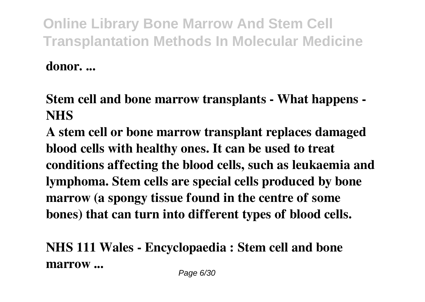**donor. ...**

**Stem cell and bone marrow transplants - What happens - NHS**

**A stem cell or bone marrow transplant replaces damaged blood cells with healthy ones. It can be used to treat conditions affecting the blood cells, such as leukaemia and lymphoma. Stem cells are special cells produced by bone marrow (a spongy tissue found in the centre of some bones) that can turn into different types of blood cells.**

**NHS 111 Wales - Encyclopaedia : Stem cell and bone marrow ...**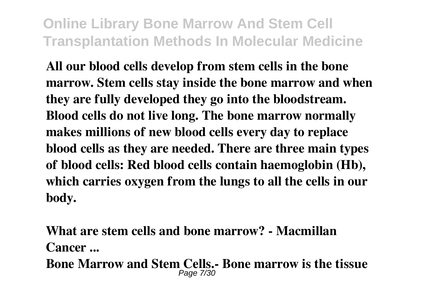**All our blood cells develop from stem cells in the bone marrow. Stem cells stay inside the bone marrow and when they are fully developed they go into the bloodstream. Blood cells do not live long. The bone marrow normally makes millions of new blood cells every day to replace blood cells as they are needed. There are three main types of blood cells: Red blood cells contain haemoglobin (Hb), which carries oxygen from the lungs to all the cells in our body.**

**What are stem cells and bone marrow? - Macmillan Cancer ... Bone Marrow and Stem Cells.- Bone marrow is the tissue** Page 7/30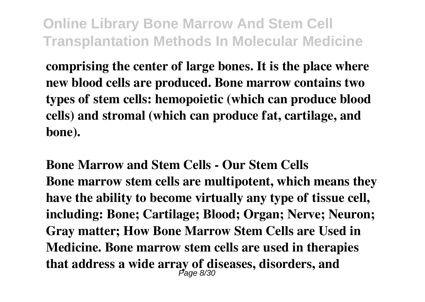**comprising the center of large bones. It is the place where new blood cells are produced. Bone marrow contains two types of stem cells: hemopoietic (which can produce blood cells) and stromal (which can produce fat, cartilage, and bone).**

**Bone Marrow and Stem Cells - Our Stem Cells Bone marrow stem cells are multipotent, which means they have the ability to become virtually any type of tissue cell, including: Bone; Cartilage; Blood; Organ; Nerve; Neuron; Gray matter; How Bone Marrow Stem Cells are Used in Medicine. Bone marrow stem cells are used in therapies that address a wide array of diseases, disorders, and** Page 8/30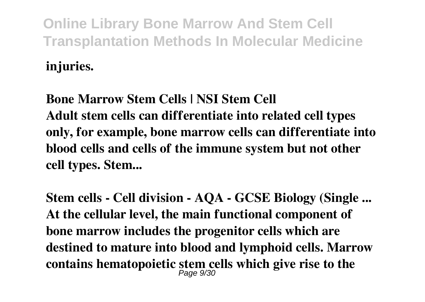**injuries.**

**Bone Marrow Stem Cells | NSI Stem Cell Adult stem cells can differentiate into related cell types only, for example, bone marrow cells can differentiate into blood cells and cells of the immune system but not other cell types. Stem...**

**Stem cells - Cell division - AQA - GCSE Biology (Single ... At the cellular level, the main functional component of bone marrow includes the progenitor cells which are destined to mature into blood and lymphoid cells. Marrow contains hematopoietic stem cells which give rise to the** Page 9/30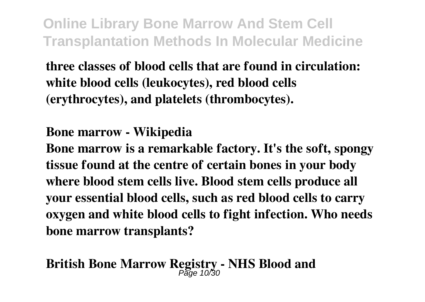**three classes of blood cells that are found in circulation: white blood cells (leukocytes), red blood cells (erythrocytes), and platelets (thrombocytes).**

#### **Bone marrow - Wikipedia**

**Bone marrow is a remarkable factory. It's the soft, spongy tissue found at the centre of certain bones in your body where blood stem cells live. Blood stem cells produce all your essential blood cells, such as red blood cells to carry oxygen and white blood cells to fight infection. Who needs bone marrow transplants?**

# **British Bone Marrow Registry - NHS Blood and** Page 10/30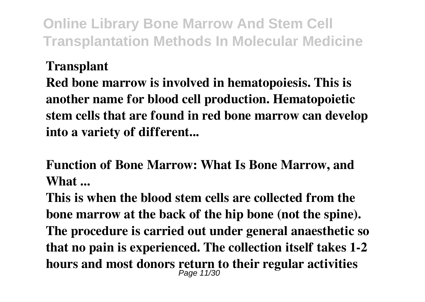#### **Transplant**

**Red bone marrow is involved in hematopoiesis. This is another name for blood cell production. Hematopoietic stem cells that are found in red bone marrow can develop into a variety of different...**

**Function of Bone Marrow: What Is Bone Marrow, and What ...**

**This is when the blood stem cells are collected from the bone marrow at the back of the hip bone (not the spine). The procedure is carried out under general anaesthetic so that no pain is experienced. The collection itself takes 1-2 hours and most donors return to their regular activities** Page 11/30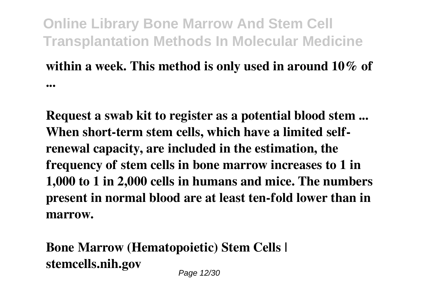### **within a week. This method is only used in around 10% of ...**

**Request a swab kit to register as a potential blood stem ... When short-term stem cells, which have a limited selfrenewal capacity, are included in the estimation, the frequency of stem cells in bone marrow increases to 1 in 1,000 to 1 in 2,000 cells in humans and mice. The numbers present in normal blood are at least ten-fold lower than in marrow.**

**Bone Marrow (Hematopoietic) Stem Cells | stemcells.nih.gov** Page 12/30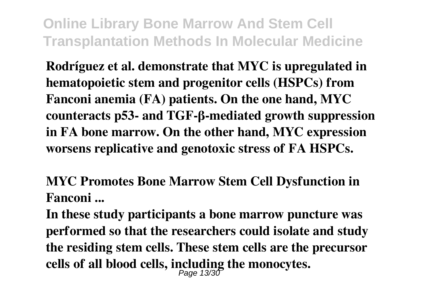**Rodríguez et al. demonstrate that MYC is upregulated in hematopoietic stem and progenitor cells (HSPCs) from Fanconi anemia (FA) patients. On the one hand, MYC counteracts p53- and TGF-β-mediated growth suppression in FA bone marrow. On the other hand, MYC expression worsens replicative and genotoxic stress of FA HSPCs.**

**MYC Promotes Bone Marrow Stem Cell Dysfunction in Fanconi ...**

**In these study participants a bone marrow puncture was performed so that the researchers could isolate and study the residing stem cells. These stem cells are the precursor cells of all blood cells, including the monocytes.** Page 13/30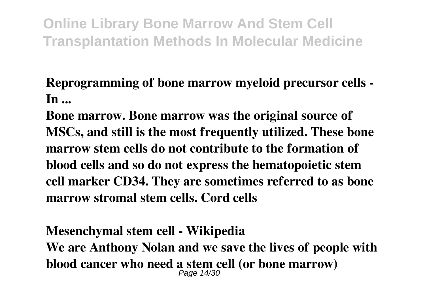**Reprogramming of bone marrow myeloid precursor cells - In ...**

**Bone marrow. Bone marrow was the original source of MSCs, and still is the most frequently utilized. These bone marrow stem cells do not contribute to the formation of blood cells and so do not express the hematopoietic stem cell marker CD34. They are sometimes referred to as bone marrow stromal stem cells. Cord cells**

## **Mesenchymal stem cell - Wikipedia We are Anthony Nolan and we save the lives of people with blood cancer who need a stem cell (or bone marrow)** Page 14/30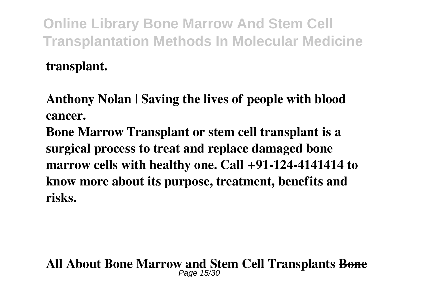**transplant.**

**Anthony Nolan | Saving the lives of people with blood cancer.**

**Bone Marrow Transplant or stem cell transplant is a surgical process to treat and replace damaged bone marrow cells with healthy one. Call +91-124-4141414 to know more about its purpose, treatment, benefits and risks.**

# **All About Bone Marrow and Stem Cell Transplants Bone** Page 15/30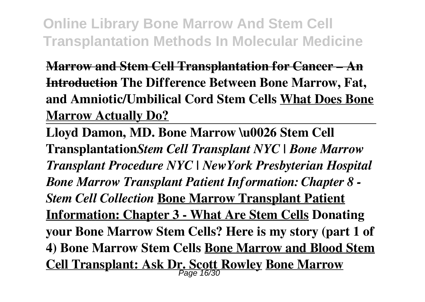**Marrow and Stem Cell Transplantation for Cancer – An Introduction The Difference Between Bone Marrow, Fat, and Amniotic/Umbilical Cord Stem Cells What Does Bone Marrow Actually Do?**

**Lloyd Damon, MD. Bone Marrow \u0026 Stem Cell Transplantation***Stem Cell Transplant NYC | Bone Marrow Transplant Procedure NYC | NewYork Presbyterian Hospital Bone Marrow Transplant Patient Information: Chapter 8 - Stem Cell Collection* **Bone Marrow Transplant Patient Information: Chapter 3 - What Are Stem Cells Donating your Bone Marrow Stem Cells? Here is my story (part 1 of 4) Bone Marrow Stem Cells Bone Marrow and Blood Stem Cell Transplant: Ask Dr. Scott Rowley Bone Marrow** Page 16/30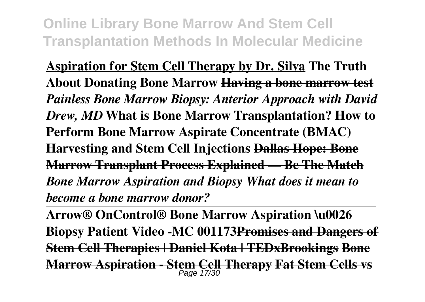**Aspiration for Stem Cell Therapy by Dr. Silva The Truth About Donating Bone Marrow Having a bone marrow test** *Painless Bone Marrow Biopsy: Anterior Approach with David Drew, MD* **What is Bone Marrow Transplantation? How to Perform Bone Marrow Aspirate Concentrate (BMAC) Harvesting and Stem Cell Injections Dallas Hope: Bone Marrow Transplant Process Explained — Be The Match** *Bone Marrow Aspiration and Biopsy What does it mean to become a bone marrow donor?*

**Arrow® OnControl® Bone Marrow Aspiration \u0026 Biopsy Patient Video -MC 001173Promises and Dangers of Stem Cell Therapies | Daniel Kota | TEDxBrookings Bone Marrow Aspiration - Stem Cell Therapy Fat Stem Cells vs** Page 17/30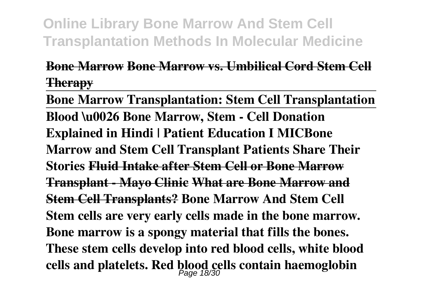#### **Bone Marrow Bone Marrow vs. Umbilical Cord Stem Cell Therapy**

**Bone Marrow Transplantation: Stem Cell Transplantation Blood \u0026 Bone Marrow, Stem - Cell Donation Explained in Hindi | Patient Education I MICBone Marrow and Stem Cell Transplant Patients Share Their Stories Fluid Intake after Stem Cell or Bone Marrow Transplant - Mayo Clinic What are Bone Marrow and Stem Cell Transplants? Bone Marrow And Stem Cell Stem cells are very early cells made in the bone marrow. Bone marrow is a spongy material that fills the bones. These stem cells develop into red blood cells, white blood cells and platelets. Red blood cells contain haemoglobin** Page 18/30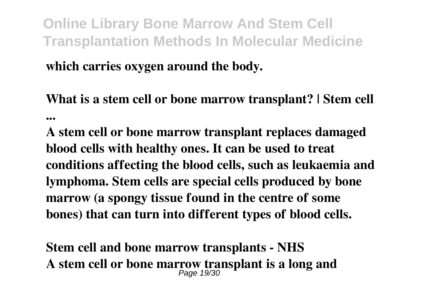**which carries oxygen around the body.**

**What is a stem cell or bone marrow transplant? | Stem cell ...**

**A stem cell or bone marrow transplant replaces damaged blood cells with healthy ones. It can be used to treat conditions affecting the blood cells, such as leukaemia and lymphoma. Stem cells are special cells produced by bone marrow (a spongy tissue found in the centre of some bones) that can turn into different types of blood cells.**

**Stem cell and bone marrow transplants - NHS A stem cell or bone marrow transplant is a long and** Page 19/30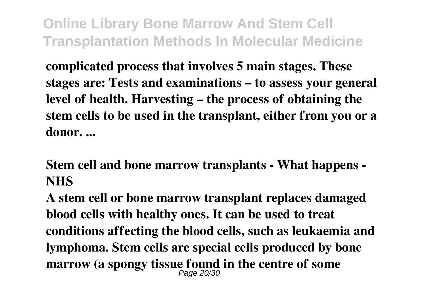**complicated process that involves 5 main stages. These stages are: Tests and examinations – to assess your general level of health. Harvesting – the process of obtaining the stem cells to be used in the transplant, either from you or a donor. ...**

**Stem cell and bone marrow transplants - What happens - NHS**

**A stem cell or bone marrow transplant replaces damaged blood cells with healthy ones. It can be used to treat conditions affecting the blood cells, such as leukaemia and lymphoma. Stem cells are special cells produced by bone marrow (a spongy tissue found in the centre of some** Page 20/30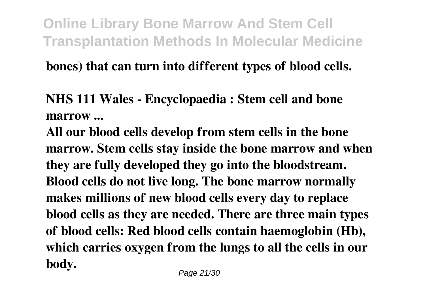#### **bones) that can turn into different types of blood cells.**

**NHS 111 Wales - Encyclopaedia : Stem cell and bone marrow ...**

**All our blood cells develop from stem cells in the bone marrow. Stem cells stay inside the bone marrow and when they are fully developed they go into the bloodstream. Blood cells do not live long. The bone marrow normally makes millions of new blood cells every day to replace blood cells as they are needed. There are three main types of blood cells: Red blood cells contain haemoglobin (Hb), which carries oxygen from the lungs to all the cells in our body.**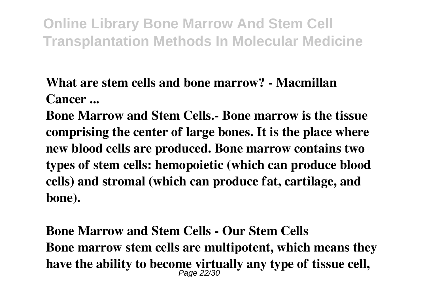### **What are stem cells and bone marrow? - Macmillan Cancer ...**

**Bone Marrow and Stem Cells.- Bone marrow is the tissue comprising the center of large bones. It is the place where new blood cells are produced. Bone marrow contains two types of stem cells: hemopoietic (which can produce blood cells) and stromal (which can produce fat, cartilage, and bone).**

**Bone Marrow and Stem Cells - Our Stem Cells Bone marrow stem cells are multipotent, which means they** have the ability to become virtually any type of tissue cell,  $_{Page\ 22/30}$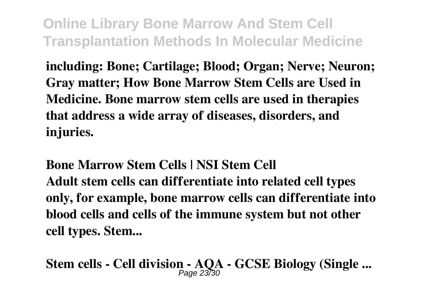**including: Bone; Cartilage; Blood; Organ; Nerve; Neuron; Gray matter; How Bone Marrow Stem Cells are Used in Medicine. Bone marrow stem cells are used in therapies that address a wide array of diseases, disorders, and injuries.**

**Bone Marrow Stem Cells | NSI Stem Cell Adult stem cells can differentiate into related cell types only, for example, bone marrow cells can differentiate into blood cells and cells of the immune system but not other cell types. Stem...**

**Stem cells - Cell division - AQA - GCSE Biology (Single ...** Page 23/30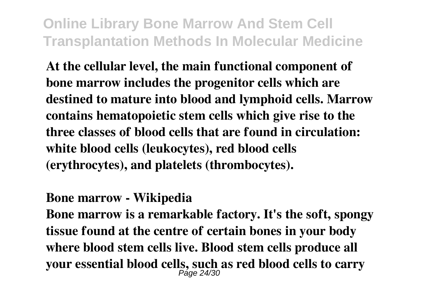**At the cellular level, the main functional component of bone marrow includes the progenitor cells which are destined to mature into blood and lymphoid cells. Marrow contains hematopoietic stem cells which give rise to the three classes of blood cells that are found in circulation: white blood cells (leukocytes), red blood cells (erythrocytes), and platelets (thrombocytes).**

#### **Bone marrow - Wikipedia**

**Bone marrow is a remarkable factory. It's the soft, spongy tissue found at the centre of certain bones in your body where blood stem cells live. Blood stem cells produce all your essential blood cells, such as red blood cells to carry** Page 24/30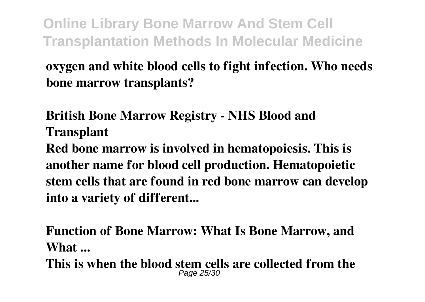**oxygen and white blood cells to fight infection. Who needs bone marrow transplants?**

**British Bone Marrow Registry - NHS Blood and Transplant**

**Red bone marrow is involved in hematopoiesis. This is another name for blood cell production. Hematopoietic stem cells that are found in red bone marrow can develop into a variety of different...**

**Function of Bone Marrow: What Is Bone Marrow, and What ...**

**This is when the blood stem cells are collected from the Page 25/3**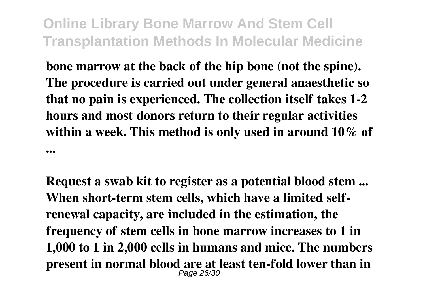**bone marrow at the back of the hip bone (not the spine). The procedure is carried out under general anaesthetic so that no pain is experienced. The collection itself takes 1-2 hours and most donors return to their regular activities within a week. This method is only used in around 10% of ...**

**Request a swab kit to register as a potential blood stem ... When short-term stem cells, which have a limited selfrenewal capacity, are included in the estimation, the frequency of stem cells in bone marrow increases to 1 in 1,000 to 1 in 2,000 cells in humans and mice. The numbers present in normal blood are at least ten-fold lower than in** Page 26/30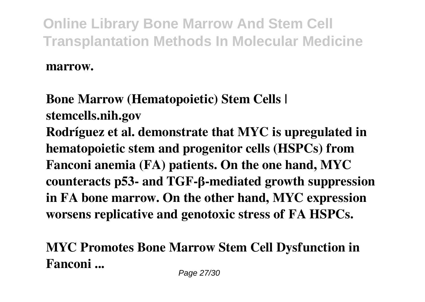**marrow.**

**Bone Marrow (Hematopoietic) Stem Cells | stemcells.nih.gov Rodríguez et al. demonstrate that MYC is upregulated in hematopoietic stem and progenitor cells (HSPCs) from Fanconi anemia (FA) patients. On the one hand, MYC counteracts p53- and TGF-β-mediated growth suppression in FA bone marrow. On the other hand, MYC expression worsens replicative and genotoxic stress of FA HSPCs.**

**MYC Promotes Bone Marrow Stem Cell Dysfunction in Fanconi ...**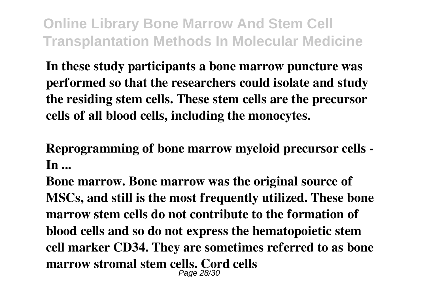**In these study participants a bone marrow puncture was performed so that the researchers could isolate and study the residing stem cells. These stem cells are the precursor cells of all blood cells, including the monocytes.**

**Reprogramming of bone marrow myeloid precursor cells - In ...**

**Bone marrow. Bone marrow was the original source of MSCs, and still is the most frequently utilized. These bone marrow stem cells do not contribute to the formation of blood cells and so do not express the hematopoietic stem cell marker CD34. They are sometimes referred to as bone marrow stromal stem cells. Cord cells** Page 28/30